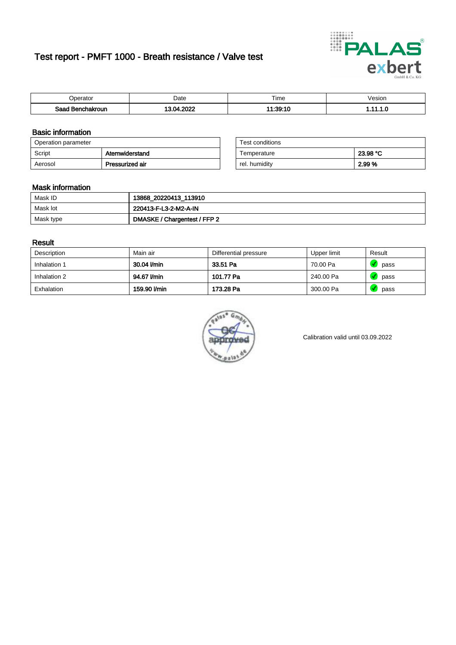# Test report - PMFT 1000 - Breath resistance / Valve test



| berator '               | Date            | $- \cdot$<br><b>Time</b> | /esion |
|-------------------------|-----------------|--------------------------|--------|
| Saad<br>ehakroun<br>. . | onos<br>n.<br>. | 1:39:10                  | .      |

### Basic information

| Operation parameter |                 | Test conditions |          |
|---------------------|-----------------|-----------------|----------|
| Script              | Atemwiderstand  | Temperature     | 23.98 °C |
| Aerosol             | Pressurized air | rel. humiditv   | 2.99 %   |

| Test conditions |          |
|-----------------|----------|
| Temperature     | 23.98 °C |
| rel. humidity   | 2.99%    |

#### Mask information

| Mask ID   | 13868_20220413_113910        |
|-----------|------------------------------|
| Mask lot  | 220413-F-L3-2-M2-A-IN        |
| Mask type | DMASKE / Chargentest / FFP 2 |

### Result

| Description  | Main air     | Differential pressure | Upper limit | Result |
|--------------|--------------|-----------------------|-------------|--------|
| Inhalation 1 | 30.04 l/min  | 33.51 Pa              | 70.00 Pa    | pass   |
| Inhalation 2 | 94.67 l/min  | 101.77 Pa             | 240.00 Pa   | pass   |
| Exhalation   | 159.90 l/min | 173.28 Pa             | 300.00 Pa   | pass   |



Calibration valid until 03.09.2022